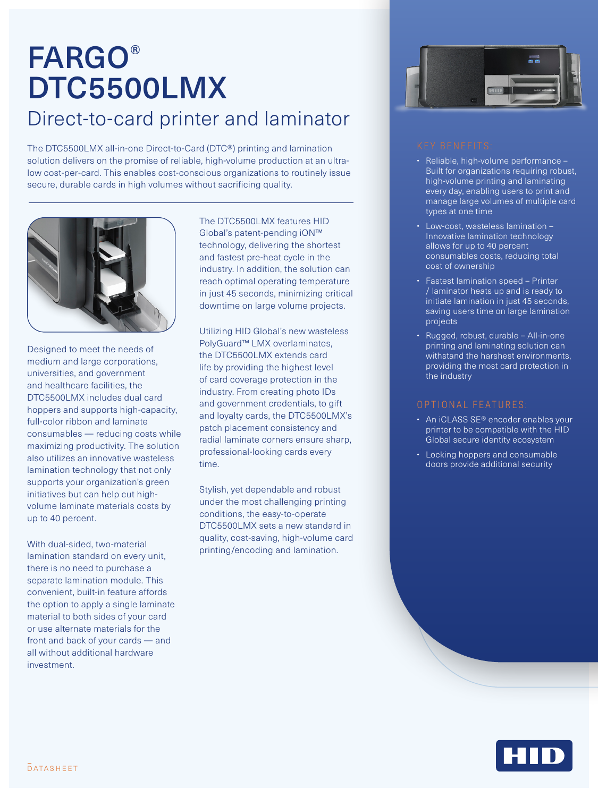# FARGO® DTC5500LMX Direct-to-card printer and laminator

The DTC5500LMX all-in-one Direct-to-Card (DTC®) printing and lamination solution delivers on the promise of reliable, high-volume production at an ultralow cost-per-card. This enables cost-conscious organizations to routinely issue secure, durable cards in high volumes without sacrificing quality.



Designed to meet the needs of medium and large corporations, universities, and government and healthcare facilities, the DTC5500LMX includes dual card hoppers and supports high-capacity, full-color ribbon and laminate consumables — reducing costs while maximizing productivity. The solution also utilizes an innovative wasteless lamination technology that not only supports your organization's green initiatives but can help cut highvolume laminate materials costs by up to 40 percent.

With dual-sided, two-material lamination standard on every unit, there is no need to purchase a separate lamination module. This convenient, built-in feature affords the option to apply a single laminate material to both sides of your card or use alternate materials for the front and back of your cards — and all without additional hardware investment.

The DTC5500LMX features HID Global's patent-pending iON™ technology, delivering the shortest and fastest pre-heat cycle in the industry. In addition, the solution can reach optimal operating temperature in just 45 seconds, minimizing critical downtime on large volume projects.

Utilizing HID Global's new wasteless PolyGuard™ LMX overlaminates, the DTC5500LMX extends card life by providing the highest level of card coverage protection in the industry. From creating photo IDs and government credentials, to gift and loyalty cards, the DTC5500LMX's patch placement consistency and radial laminate corners ensure sharp, professional-looking cards every time.

Stylish, yet dependable and robust under the most challenging printing conditions, the easy-to-operate DTC5500LMX sets a new standard in quality, cost-saving, high-volume card printing/encoding and lamination.



- Reliable, high-volume performance Built for organizations requiring robust, high-volume printing and laminating every day, enabling users to print and manage large volumes of multiple card types at one time
- Low-cost, wasteless lamination Innovative lamination technology allows for up to 40 percent consumables costs, reducing total cost of ownership
- Fastest lamination speed Printer / laminator heats up and is ready to initiate lamination in just 45 seconds, saving users time on large lamination projects
- Rugged, robust, durable All-in-one printing and laminating solution can withstand the harshest environments, providing the most card protection in the industry

- An iCLASS SE® encoder enables your printer to be compatible with the HID Global secure identity ecosystem
- Locking hoppers and consumable doors provide additional security